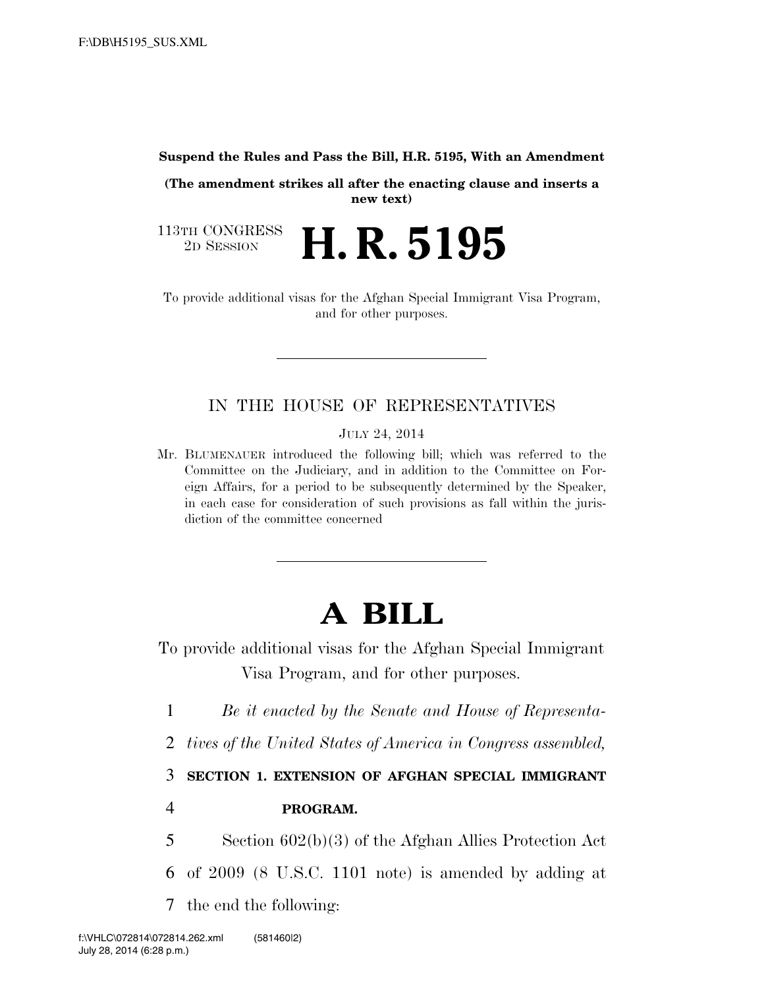#### **Suspend the Rules and Pass the Bill, H.R. 5195, With an Amendment**

**(The amendment strikes all after the enacting clause and inserts a new text)** 

113TH CONGRESS<br>2D SESSION 2D SESSION **H. R. 5195** 

To provide additional visas for the Afghan Special Immigrant Visa Program, and for other purposes.

### IN THE HOUSE OF REPRESENTATIVES

JULY 24, 2014

Mr. BLUMENAUER introduced the following bill; which was referred to the Committee on the Judiciary, and in addition to the Committee on Foreign Affairs, for a period to be subsequently determined by the Speaker, in each case for consideration of such provisions as fall within the jurisdiction of the committee concerned

# **A BILL**

To provide additional visas for the Afghan Special Immigrant Visa Program, and for other purposes.

1 *Be it enacted by the Senate and House of Representa-*

2 *tives of the United States of America in Congress assembled,* 

3 **SECTION 1. EXTENSION OF AFGHAN SPECIAL IMMIGRANT** 

### 4 **PROGRAM.**

5 Section 602(b)(3) of the Afghan Allies Protection Act 6 of 2009 (8 U.S.C. 1101 note) is amended by adding at

7 the end the following: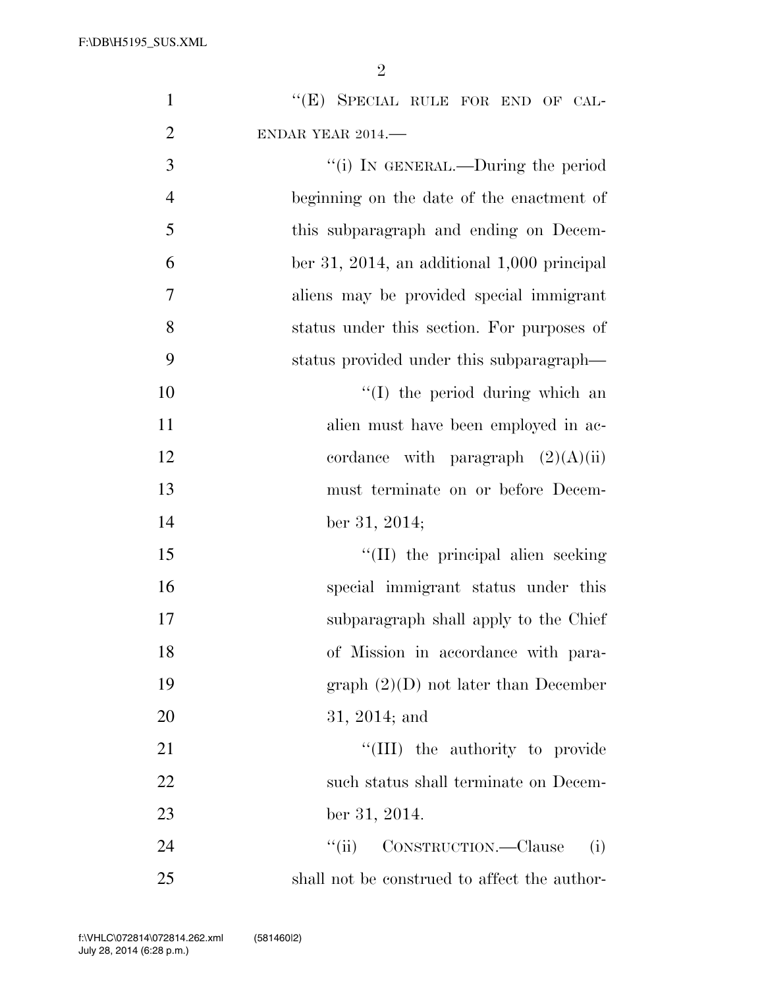F:\DB\H5195\_SUS.XML

2

| $\mathbf{1}$   | "(E) SPECIAL RULE FOR END OF CAL-             |
|----------------|-----------------------------------------------|
| $\overline{2}$ | ENDAR YEAR 2014.                              |
| 3              | "(i) IN GENERAL.—During the period            |
| $\overline{4}$ | beginning on the date of the enactment of     |
| 5              | this subparagraph and ending on Decem-        |
| 6              | ber 31, 2014, an additional $1,000$ principal |
| 7              | aliens may be provided special immigrant      |
| 8              | status under this section. For purposes of    |
| 9              | status provided under this subparagraph—      |
| 10             | "(I) the period during which an               |
| 11             | alien must have been employed in ac-          |
| 12             | cordance with paragraph $(2)(A)(ii)$          |
| 13             | must terminate on or before Decem-            |
| 14             | ber 31, 2014;                                 |
| 15             | "(II) the principal alien seeking             |
| 16             | special immigrant status under this           |
| 17             | subparagraph shall apply to the Chief         |
| 18             | of Mission in accordance with para-           |
| 19             | graph $(2)(D)$ not later than December        |
| 20             | $31, 2014;$ and                               |
| 21             | "(III) the authority to provide               |
| 22             | such status shall terminate on Decem-         |
| 23             | ber 31, 2014.                                 |
| 24             | CONSTRUCTION.—Clause<br>``(ii)<br>(i)         |
| 25             | shall not be construed to affect the author-  |